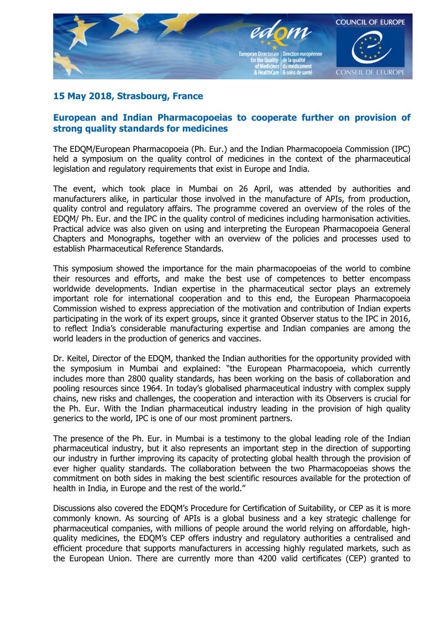

## **15 May 2018, Strasbourg, France**

## **European and Indian Pharmacopoeias to cooperate further on provision of strong quality standards for medicines**

The EDQM/European Pharmacopoeia (Ph. Eur.) and the Indian Pharmacopoeia Commission (IPC) held a symposium on the quality control of medicines in the context of the pharmaceutical legislation and regulatory requirements that exist in Europe and India.

The event, which took place in Mumbai on 26 April, was attended by authorities and manufacturers alike, in particular those involved in the manufacture of APIs, from production, quality control and regulatory affairs. The programme covered an overview of the roles of the EDQM/ Ph. Eur. and the IPC in the quality control of medicines including harmonisation activities. Practical advice was also given on using and interpreting the European Pharmacopoeia General Chapters and Monographs, together with an overview of the policies and processes used to establish Pharmaceutical Reference Standards.

This symposium showed the importance for the main pharmacopoeias of the world to combine their resources and efforts, and make the best use of competences to better encompass worldwide developments. Indian expertise in the pharmaceutical sector plays an extremely important role for international cooperation and to this end, the European Pharmacopoeia Commission wished to express appreciation of the motivation and contribution of Indian experts participating in the work of its expert groups, since it granted Observer status to the IPC in 2016, to reflect India's considerable manufacturing expertise and Indian companies are among the world leaders in the production of generics and vaccines.

Dr. Keitel, Director of the EDQM, thanked the Indian authorities for the opportunity provided with the symposium in Mumbai and explained: "the European Pharmacopoeia, which currently includes more than 2800 quality standards, has been working on the basis of collaboration and pooling resources since 1964. In today's globalised pharmaceutical industry with complex supply chains, new risks and challenges, the cooperation and interaction with its Observers is crucial for the Ph. Eur. With the Indian pharmaceutical industry leading in the provision of high quality generics to the world, IPC is one of our most prominent partners.

The presence of the Ph. Eur. in Mumbai is a testimony to the global leading role of the Indian pharmaceutical industry, but it also represents an important step in the direction of supporting our industry in further improving its capacity of protecting global health through the provision of ever higher quality standards. The collaboration between the two Pharmacopoeias shows the commitment on both sides in making the best scientific resources available for the protection of health in India, in Europe and the rest of the world."

Discussions also covered the EDQM's Procedure for Certification of Suitability, or CEP as it is more commonly known. As sourcing of APIs is a global business and a key strategic challenge for pharmaceutical companies, with millions of people around the world relying on affordable, highquality medicines, the EDQM's CEP offers industry and regulatory authorities a centralised and efficient procedure that supports manufacturers in accessing highly regulated markets, such as the European Union. There are currently more than 4200 valid certificates (CEP) granted to